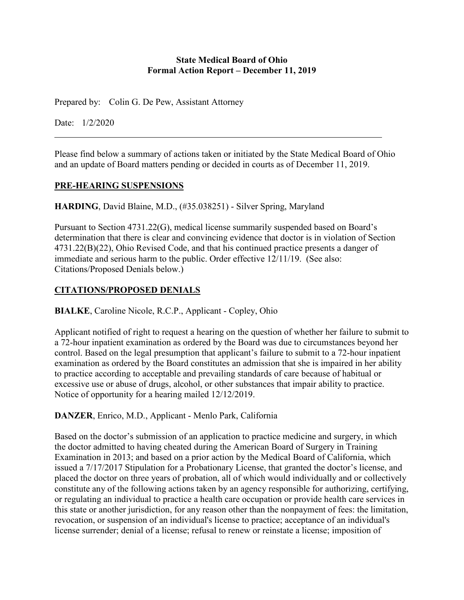#### **State Medical Board of Ohio Formal Action Report – December 11, 2019**

Prepared by: Colin G. De Pew, Assistant Attorney

Date: 1/2/2020

Please find below a summary of actions taken or initiated by the State Medical Board of Ohio and an update of Board matters pending or decided in courts as of December 11, 2019.

#### **PRE-HEARING SUSPENSIONS**

**HARDING**, David Blaine, M.D., (#35.038251) - Silver Spring, Maryland

Pursuant to Section 4731.22(G), medical license summarily suspended based on Board's determination that there is clear and convincing evidence that doctor is in violation of Section 4731.22(B)(22), Ohio Revised Code, and that his continued practice presents a danger of immediate and serious harm to the public. Order effective 12/11/19. (See also: Citations/Proposed Denials below.)

# **CITATIONS/PROPOSED DENIALS**

**BIALKE**, Caroline Nicole, R.C.P., Applicant - Copley, Ohio

Applicant notified of right to request a hearing on the question of whether her failure to submit to a 72-hour inpatient examination as ordered by the Board was due to circumstances beyond her control. Based on the legal presumption that applicant's failure to submit to a 72-hour inpatient examination as ordered by the Board constitutes an admission that she is impaired in her ability to practice according to acceptable and prevailing standards of care because of habitual or excessive use or abuse of drugs, alcohol, or other substances that impair ability to practice. Notice of opportunity for a hearing mailed 12/12/2019.

**DANZER**, Enrico, M.D., Applicant - Menlo Park, California

Based on the doctor's submission of an application to practice medicine and surgery, in which the doctor admitted to having cheated during the American Board of Surgery in Training Examination in 2013; and based on a prior action by the Medical Board of California, which issued a 7/17/2017 Stipulation for a Probationary License, that granted the doctor's license, and placed the doctor on three years of probation, all of which would individually and or collectively constitute any of the following actions taken by an agency responsible for authorizing, certifying, or regulating an individual to practice a health care occupation or provide health care services in this state or another jurisdiction, for any reason other than the nonpayment of fees: the limitation, revocation, or suspension of an individual's license to practice; acceptance of an individual's license surrender; denial of a license; refusal to renew or reinstate a license; imposition of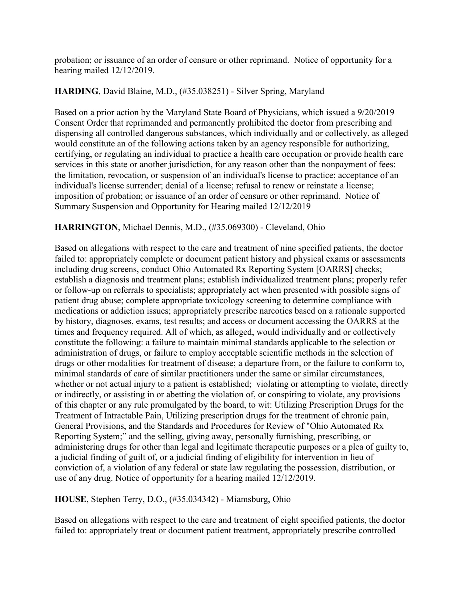probation; or issuance of an order of censure or other reprimand. Notice of opportunity for a hearing mailed 12/12/2019.

#### **HARDING**, David Blaine, M.D., (#35.038251) - Silver Spring, Maryland

Based on a prior action by the Maryland State Board of Physicians, which issued a 9/20/2019 Consent Order that reprimanded and permanently prohibited the doctor from prescribing and dispensing all controlled dangerous substances, which individually and or collectively, as alleged would constitute an of the following actions taken by an agency responsible for authorizing, certifying, or regulating an individual to practice a health care occupation or provide health care services in this state or another jurisdiction, for any reason other than the nonpayment of fees: the limitation, revocation, or suspension of an individual's license to practice; acceptance of an individual's license surrender; denial of a license; refusal to renew or reinstate a license; imposition of probation; or issuance of an order of censure or other reprimand. Notice of Summary Suspension and Opportunity for Hearing mailed 12/12/2019

#### **HARRINGTON**, Michael Dennis, M.D., (#35.069300) - Cleveland, Ohio

Based on allegations with respect to the care and treatment of nine specified patients, the doctor failed to: appropriately complete or document patient history and physical exams or assessments including drug screens, conduct Ohio Automated Rx Reporting System [OARRS] checks; establish a diagnosis and treatment plans; establish individualized treatment plans; properly refer or follow-up on referrals to specialists; appropriately act when presented with possible signs of patient drug abuse; complete appropriate toxicology screening to determine compliance with medications or addiction issues; appropriately prescribe narcotics based on a rationale supported by history, diagnoses, exams, test results; and access or document accessing the OARRS at the times and frequency required. All of which, as alleged, would individually and or collectively constitute the following: a failure to maintain minimal standards applicable to the selection or administration of drugs, or failure to employ acceptable scientific methods in the selection of drugs or other modalities for treatment of disease; a departure from, or the failure to conform to, minimal standards of care of similar practitioners under the same or similar circumstances, whether or not actual injury to a patient is established; violating or attempting to violate, directly or indirectly, or assisting in or abetting the violation of, or conspiring to violate, any provisions of this chapter or any rule promulgated by the board, to wit: Utilizing Prescription Drugs for the Treatment of Intractable Pain, Utilizing prescription drugs for the treatment of chronic pain, General Provisions, and the Standards and Procedures for Review of "Ohio Automated Rx Reporting System;" and the selling, giving away, personally furnishing, prescribing, or administering drugs for other than legal and legitimate therapeutic purposes or a plea of guilty to, a judicial finding of guilt of, or a judicial finding of eligibility for intervention in lieu of conviction of, a violation of any federal or state law regulating the possession, distribution, or use of any drug. Notice of opportunity for a hearing mailed 12/12/2019.

#### **HOUSE**, Stephen Terry, D.O., (#35.034342) - Miamsburg, Ohio

Based on allegations with respect to the care and treatment of eight specified patients, the doctor failed to: appropriately treat or document patient treatment, appropriately prescribe controlled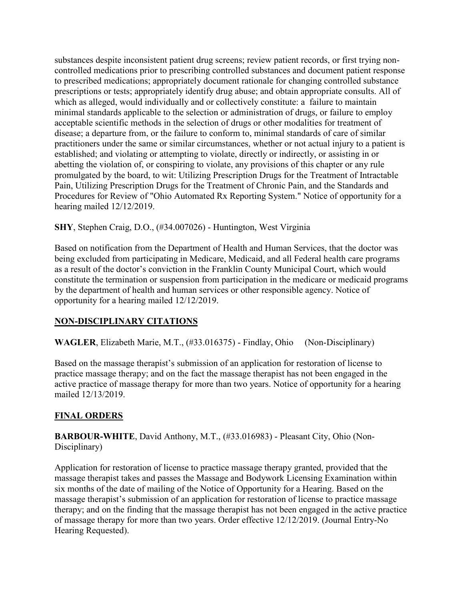substances despite inconsistent patient drug screens; review patient records, or first trying noncontrolled medications prior to prescribing controlled substances and document patient response to prescribed medications; appropriately document rationale for changing controlled substance prescriptions or tests; appropriately identify drug abuse; and obtain appropriate consults. All of which as alleged, would individually and or collectively constitute: a failure to maintain minimal standards applicable to the selection or administration of drugs, or failure to employ acceptable scientific methods in the selection of drugs or other modalities for treatment of disease; a departure from, or the failure to conform to, minimal standards of care of similar practitioners under the same or similar circumstances, whether or not actual injury to a patient is established; and violating or attempting to violate, directly or indirectly, or assisting in or abetting the violation of, or conspiring to violate, any provisions of this chapter or any rule promulgated by the board, to wit: Utilizing Prescription Drugs for the Treatment of Intractable Pain, Utilizing Prescription Drugs for the Treatment of Chronic Pain, and the Standards and Procedures for Review of "Ohio Automated Rx Reporting System." Notice of opportunity for a hearing mailed 12/12/2019.

**SHY**, Stephen Craig, D.O., (#34.007026) - Huntington, West Virginia

Based on notification from the Department of Health and Human Services, that the doctor was being excluded from participating in Medicare, Medicaid, and all Federal health care programs as a result of the doctor's conviction in the Franklin County Municipal Court, which would constitute the termination or suspension from participation in the medicare or medicaid programs by the department of health and human services or other responsible agency. Notice of opportunity for a hearing mailed 12/12/2019.

# **NON-DISCIPLINARY CITATIONS**

**WAGLER**, Elizabeth Marie, M.T., (#33.016375) - Findlay, Ohio (Non-Disciplinary)

Based on the massage therapist's submission of an application for restoration of license to practice massage therapy; and on the fact the massage therapist has not been engaged in the active practice of massage therapy for more than two years. Notice of opportunity for a hearing mailed 12/13/2019.

# **FINAL ORDERS**

**BARBOUR-WHITE**, David Anthony, M.T., (#33.016983) - Pleasant City, Ohio (Non-Disciplinary)

Application for restoration of license to practice massage therapy granted, provided that the massage therapist takes and passes the Massage and Bodywork Licensing Examination within six months of the date of mailing of the Notice of Opportunity for a Hearing. Based on the massage therapist's submission of an application for restoration of license to practice massage therapy; and on the finding that the massage therapist has not been engaged in the active practice of massage therapy for more than two years. Order effective 12/12/2019. (Journal Entry-No Hearing Requested).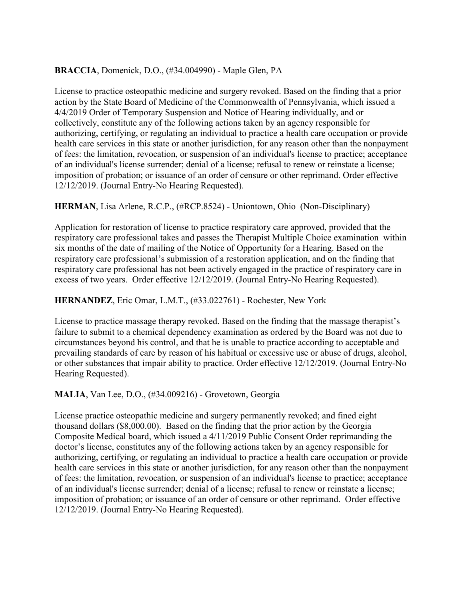### **BRACCIA**, Domenick, D.O., (#34.004990) - Maple Glen, PA

License to practice osteopathic medicine and surgery revoked. Based on the finding that a prior action by the State Board of Medicine of the Commonwealth of Pennsylvania, which issued a 4/4/2019 Order of Temporary Suspension and Notice of Hearing individually, and or collectively, constitute any of the following actions taken by an agency responsible for authorizing, certifying, or regulating an individual to practice a health care occupation or provide health care services in this state or another jurisdiction, for any reason other than the nonpayment of fees: the limitation, revocation, or suspension of an individual's license to practice; acceptance of an individual's license surrender; denial of a license; refusal to renew or reinstate a license; imposition of probation; or issuance of an order of censure or other reprimand. Order effective 12/12/2019. (Journal Entry-No Hearing Requested).

## **HERMAN**, Lisa Arlene, R.C.P., (#RCP.8524) - Uniontown, Ohio (Non-Disciplinary)

Application for restoration of license to practice respiratory care approved, provided that the respiratory care professional takes and passes the Therapist Multiple Choice examination within six months of the date of mailing of the Notice of Opportunity for a Hearing. Based on the respiratory care professional's submission of a restoration application, and on the finding that respiratory care professional has not been actively engaged in the practice of respiratory care in excess of two years. Order effective 12/12/2019. (Journal Entry-No Hearing Requested).

#### **HERNANDEZ**, Eric Omar, L.M.T., (#33.022761) - Rochester, New York

License to practice massage therapy revoked. Based on the finding that the massage therapist's failure to submit to a chemical dependency examination as ordered by the Board was not due to circumstances beyond his control, and that he is unable to practice according to acceptable and prevailing standards of care by reason of his habitual or excessive use or abuse of drugs, alcohol, or other substances that impair ability to practice. Order effective 12/12/2019. (Journal Entry-No Hearing Requested).

#### **MALIA**, Van Lee, D.O., (#34.009216) - Grovetown, Georgia

License practice osteopathic medicine and surgery permanently revoked; and fined eight thousand dollars (\$8,000.00). Based on the finding that the prior action by the Georgia Composite Medical board, which issued a 4/11/2019 Public Consent Order reprimanding the doctor's license, constitutes any of the following actions taken by an agency responsible for authorizing, certifying, or regulating an individual to practice a health care occupation or provide health care services in this state or another jurisdiction, for any reason other than the nonpayment of fees: the limitation, revocation, or suspension of an individual's license to practice; acceptance of an individual's license surrender; denial of a license; refusal to renew or reinstate a license; imposition of probation; or issuance of an order of censure or other reprimand. Order effective 12/12/2019. (Journal Entry-No Hearing Requested).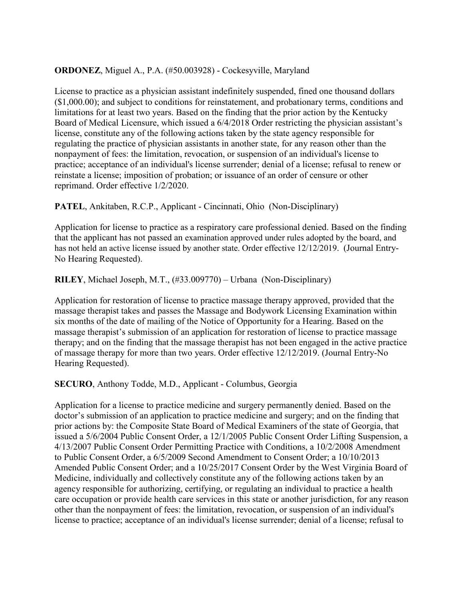#### **ORDONEZ**, Miguel A., P.A. (#50.003928) - Cockesyville, Maryland

License to practice as a physician assistant indefinitely suspended, fined one thousand dollars (\$1,000.00); and subject to conditions for reinstatement, and probationary terms, conditions and limitations for at least two years. Based on the finding that the prior action by the Kentucky Board of Medical Licensure, which issued a 6/4/2018 Order restricting the physician assistant's license, constitute any of the following actions taken by the state agency responsible for regulating the practice of physician assistants in another state, for any reason other than the nonpayment of fees: the limitation, revocation, or suspension of an individual's license to practice; acceptance of an individual's license surrender; denial of a license; refusal to renew or reinstate a license; imposition of probation; or issuance of an order of censure or other reprimand. Order effective 1/2/2020.

#### **PATEL**, Ankitaben, R.C.P., Applicant - Cincinnati, Ohio (Non-Disciplinary)

Application for license to practice as a respiratory care professional denied. Based on the finding that the applicant has not passed an examination approved under rules adopted by the board, and has not held an active license issued by another state. Order effective 12/12/2019. (Journal Entry-No Hearing Requested).

**RILEY**, Michael Joseph, M.T., (#33.009770) – Urbana (Non-Disciplinary)

Application for restoration of license to practice massage therapy approved, provided that the massage therapist takes and passes the Massage and Bodywork Licensing Examination within six months of the date of mailing of the Notice of Opportunity for a Hearing. Based on the massage therapist's submission of an application for restoration of license to practice massage therapy; and on the finding that the massage therapist has not been engaged in the active practice of massage therapy for more than two years. Order effective 12/12/2019. (Journal Entry-No Hearing Requested).

**SECURO**, Anthony Todde, M.D., Applicant - Columbus, Georgia

Application for a license to practice medicine and surgery permanently denied. Based on the doctor's submission of an application to practice medicine and surgery; and on the finding that prior actions by: the Composite State Board of Medical Examiners of the state of Georgia, that issued a 5/6/2004 Public Consent Order, a 12/1/2005 Public Consent Order Lifting Suspension, a 4/13/2007 Public Consent Order Permitting Practice with Conditions, a 10/2/2008 Amendment to Public Consent Order, a 6/5/2009 Second Amendment to Consent Order; a 10/10/2013 Amended Public Consent Order; and a 10/25/2017 Consent Order by the West Virginia Board of Medicine, individually and collectively constitute any of the following actions taken by an agency responsible for authorizing, certifying, or regulating an individual to practice a health care occupation or provide health care services in this state or another jurisdiction, for any reason other than the nonpayment of fees: the limitation, revocation, or suspension of an individual's license to practice; acceptance of an individual's license surrender; denial of a license; refusal to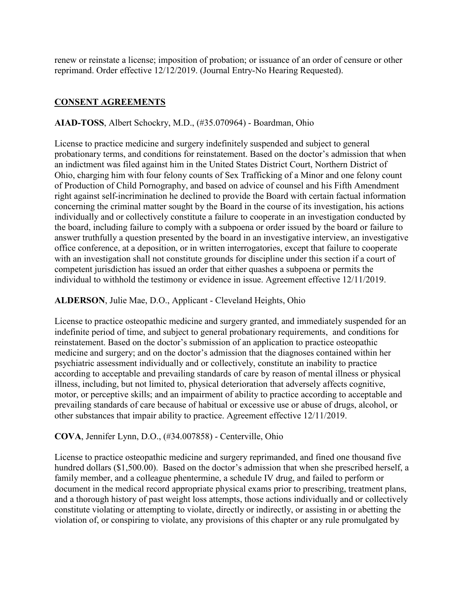renew or reinstate a license; imposition of probation; or issuance of an order of censure or other reprimand. Order effective 12/12/2019. (Journal Entry-No Hearing Requested).

## **CONSENT AGREEMENTS**

#### **AIAD-TOSS**, Albert Schockry, M.D., (#35.070964) - Boardman, Ohio

License to practice medicine and surgery indefinitely suspended and subject to general probationary terms, and conditions for reinstatement. Based on the doctor's admission that when an indictment was filed against him in the United States District Court, Northern District of Ohio, charging him with four felony counts of Sex Trafficking of a Minor and one felony count of Production of Child Pornography, and based on advice of counsel and his Fifth Amendment right against self-incrimination he declined to provide the Board with certain factual information concerning the criminal matter sought by the Board in the course of its investigation, his actions individually and or collectively constitute a failure to cooperate in an investigation conducted by the board, including failure to comply with a subpoena or order issued by the board or failure to answer truthfully a question presented by the board in an investigative interview, an investigative office conference, at a deposition, or in written interrogatories, except that failure to cooperate with an investigation shall not constitute grounds for discipline under this section if a court of competent jurisdiction has issued an order that either quashes a subpoena or permits the individual to withhold the testimony or evidence in issue. Agreement effective 12/11/2019.

#### **ALDERSON**, Julie Mae, D.O., Applicant - Cleveland Heights, Ohio

License to practice osteopathic medicine and surgery granted, and immediately suspended for an indefinite period of time, and subject to general probationary requirements, and conditions for reinstatement. Based on the doctor's submission of an application to practice osteopathic medicine and surgery; and on the doctor's admission that the diagnoses contained within her psychiatric assessment individually and or collectively, constitute an inability to practice according to acceptable and prevailing standards of care by reason of mental illness or physical illness, including, but not limited to, physical deterioration that adversely affects cognitive, motor, or perceptive skills; and an impairment of ability to practice according to acceptable and prevailing standards of care because of habitual or excessive use or abuse of drugs, alcohol, or other substances that impair ability to practice. Agreement effective 12/11/2019.

#### **COVA**, Jennifer Lynn, D.O., (#34.007858) - Centerville, Ohio

License to practice osteopathic medicine and surgery reprimanded, and fined one thousand five hundred dollars (\$1,500.00). Based on the doctor's admission that when she prescribed herself, a family member, and a colleague phentermine, a schedule IV drug, and failed to perform or document in the medical record appropriate physical exams prior to prescribing, treatment plans, and a thorough history of past weight loss attempts, those actions individually and or collectively constitute violating or attempting to violate, directly or indirectly, or assisting in or abetting the violation of, or conspiring to violate, any provisions of this chapter or any rule promulgated by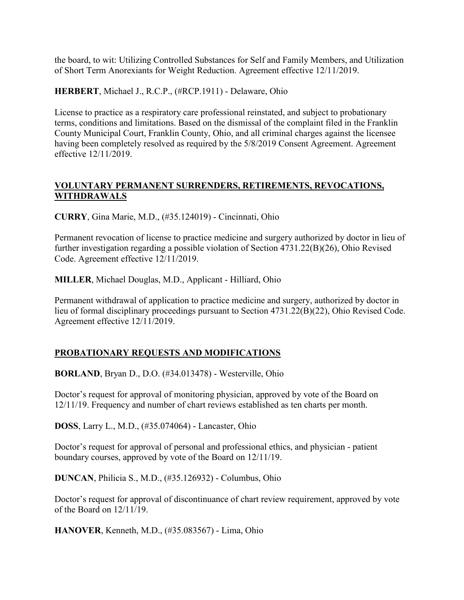the board, to wit: Utilizing Controlled Substances for Self and Family Members, and Utilization of Short Term Anorexiants for Weight Reduction. Agreement effective 12/11/2019.

**HERBERT**, Michael J., R.C.P., (#RCP.1911) - Delaware, Ohio

License to practice as a respiratory care professional reinstated, and subject to probationary terms, conditions and limitations. Based on the dismissal of the complaint filed in the Franklin County Municipal Court, Franklin County, Ohio, and all criminal charges against the licensee having been completely resolved as required by the 5/8/2019 Consent Agreement. Agreement effective 12/11/2019.

## **VOLUNTARY PERMANENT SURRENDERS, RETIREMENTS, REVOCATIONS, WITHDRAWALS**

**CURRY**, Gina Marie, M.D., (#35.124019) - Cincinnati, Ohio

Permanent revocation of license to practice medicine and surgery authorized by doctor in lieu of further investigation regarding a possible violation of Section 4731.22(B)(26), Ohio Revised Code. Agreement effective 12/11/2019.

**MILLER**, Michael Douglas, M.D., Applicant - Hilliard, Ohio

Permanent withdrawal of application to practice medicine and surgery, authorized by doctor in lieu of formal disciplinary proceedings pursuant to Section 4731.22(B)(22), Ohio Revised Code. Agreement effective 12/11/2019.

# **PROBATIONARY REQUESTS AND MODIFICATIONS**

**BORLAND**, Bryan D., D.O. (#34.013478) - Westerville, Ohio

Doctor's request for approval of monitoring physician, approved by vote of the Board on 12/11/19. Frequency and number of chart reviews established as ten charts per month.

**DOSS**, Larry L., M.D., (#35.074064) - Lancaster, Ohio

Doctor's request for approval of personal and professional ethics, and physician - patient boundary courses, approved by vote of the Board on 12/11/19.

**DUNCAN**, Philicia S., M.D., (#35.126932) - Columbus, Ohio

Doctor's request for approval of discontinuance of chart review requirement, approved by vote of the Board on 12/11/19.

**HANOVER**, Kenneth, M.D., (#35.083567) - Lima, Ohio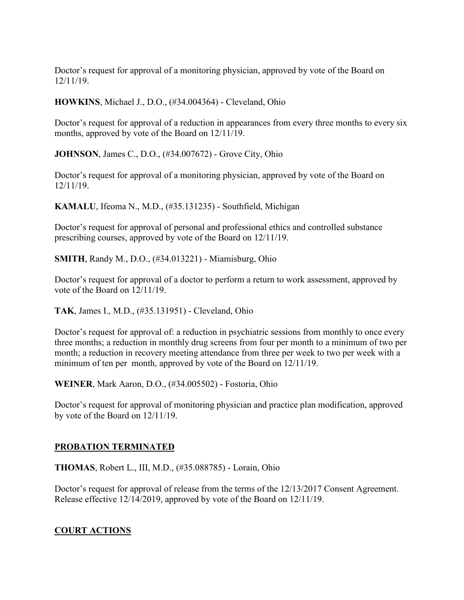Doctor's request for approval of a monitoring physician, approved by vote of the Board on 12/11/19.

**HOWKINS**, Michael J., D.O., (#34.004364) - Cleveland, Ohio

Doctor's request for approval of a reduction in appearances from every three months to every six months, approved by vote of the Board on 12/11/19.

**JOHNSON**, James C., D.O., (#34.007672) - Grove City, Ohio

Doctor's request for approval of a monitoring physician, approved by vote of the Board on 12/11/19.

**KAMALU**, Ifeoma N., M.D., (#35.131235) - Southfield, Michigan

Doctor's request for approval of personal and professional ethics and controlled substance prescribing courses, approved by vote of the Board on 12/11/19.

**SMITH**, Randy M., D.O., (#34.013221) - Miamisburg, Ohio

Doctor's request for approval of a doctor to perform a return to work assessment, approved by vote of the Board on 12/11/19.

**TAK**, James I., M.D., (#35.131951) - Cleveland, Ohio

Doctor's request for approval of: a reduction in psychiatric sessions from monthly to once every three months; a reduction in monthly drug screens from four per month to a minimum of two per month; a reduction in recovery meeting attendance from three per week to two per week with a minimum of ten per month, approved by vote of the Board on 12/11/19.

**WEINER**, Mark Aaron, D.O., (#34.005502) - Fostoria, Ohio

Doctor's request for approval of monitoring physician and practice plan modification, approved by vote of the Board on 12/11/19.

#### **PROBATION TERMINATED**

**THOMAS**, Robert L., III, M.D., (#35.088785) - Lorain, Ohio

Doctor's request for approval of release from the terms of the 12/13/2017 Consent Agreement. Release effective 12/14/2019, approved by vote of the Board on 12/11/19.

#### **COURT ACTIONS**